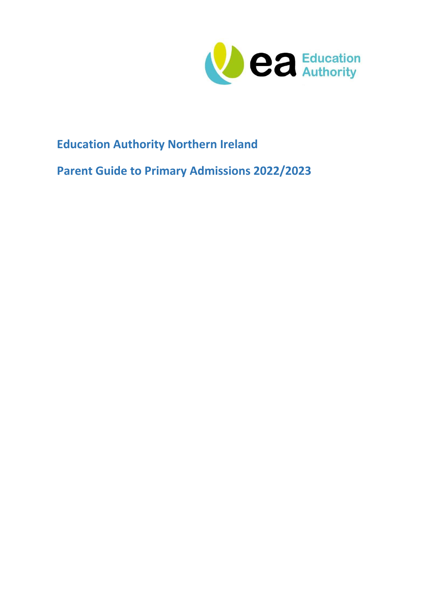

# **Education Authority Northern Ireland**

**Parent Guide to Primary Admissions 2022/2023**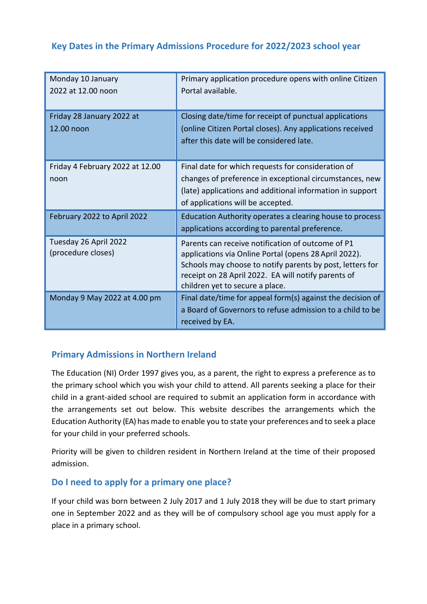# **Key Dates in the Primary Admissions Procedure for 2022/2023 school year**

| Monday 10 January<br>2022 at 12.00 noon     | Primary application procedure opens with online Citizen<br>Portal available.                                                                                                                                                                                      |
|---------------------------------------------|-------------------------------------------------------------------------------------------------------------------------------------------------------------------------------------------------------------------------------------------------------------------|
| Friday 28 January 2022 at<br>12.00 noon     | Closing date/time for receipt of punctual applications<br>(online Citizen Portal closes). Any applications received<br>after this date will be considered late.                                                                                                   |
| Friday 4 February 2022 at 12.00<br>noon     | Final date for which requests for consideration of<br>changes of preference in exceptional circumstances, new<br>(late) applications and additional information in support<br>of applications will be accepted.                                                   |
| February 2022 to April 2022                 | Education Authority operates a clearing house to process<br>applications according to parental preference.                                                                                                                                                        |
| Tuesday 26 April 2022<br>(procedure closes) | Parents can receive notification of outcome of P1<br>applications via Online Portal (opens 28 April 2022).<br>Schools may choose to notify parents by post, letters for<br>receipt on 28 April 2022. EA will notify parents of<br>children yet to secure a place. |
| Monday 9 May 2022 at 4.00 pm                | Final date/time for appeal form(s) against the decision of<br>a Board of Governors to refuse admission to a child to be<br>received by EA.                                                                                                                        |

### **Primary Admissions in Northern Ireland**

The Education (NI) Order 1997 gives you, as a parent, the right to express a preference as to the primary school which you wish your child to attend. All parents seeking a place for their child in a grant-aided school are required to submit an application form in accordance with the arrangements set out below. This website describes the arrangements which the Education Authority (EA) has made to enable you to state your preferences and to seek a place for your child in your preferred schools.

Priority will be given to children resident in Northern Ireland at the time of their proposed admission.

#### **Do I need to apply for a primary one place?**

If your child was born between 2 July 2017 and 1 July 2018 they will be due to start primary one in September 2022 and as they will be of compulsory school age you must apply for a place in a primary school.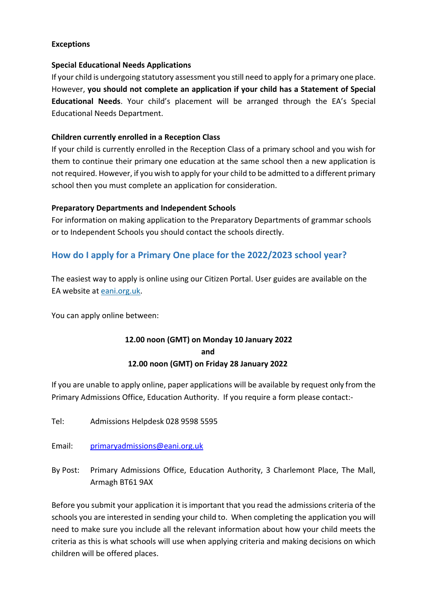#### **Exceptions**

#### **Special Educational Needs Applications**

If your child is undergoing statutory assessment you still need to apply for a primary one place. However, **you should not complete an application if your child has a Statement of Special Educational Needs**. Your child's placement will be arranged through the EA's Special Educational Needs Department.

#### **Children currently enrolled in a Reception Class**

If your child is currently enrolled in the Reception Class of a primary school and you wish for them to continue their primary one education at the same school then a new application is not required. However, if you wish to apply for your child to be admitted to a different primary school then you must complete an application for consideration.

#### **Preparatory Departments and Independent Schools**

For information on making application to the Preparatory Departments of grammar schools or to Independent Schools you should contact the schools directly.

#### **How do I apply for a Primary One place for the 2022/2023 school year?**

The easiest way to apply is online using our [Citizen Portal.](https://capita.slough.gov.uk/CitizenPortal_LIVE/Account/Login) User guides are available on the EA website at [eani.org.uk.](http://www.eani.org.uk/)

You can apply online between:

### **12.00 noon (GMT) on Monday 10 January 2022 and 12.00 noon (GMT) on Friday 28 January 2022**

If you are unable to apply online, paper applications will be available by request only from the Primary Admissions Office, Education Authority. If you require a form please contact:-

Tel: Admissions Helpdesk 028 9598 5595

Email: [primaryadmissions@eani.org.uk](mailto:primaryadmissions@eani.org.uk)

By Post: Primary Admissions Office, Education Authority, 3 Charlemont Place, The Mall, Armagh BT61 9AX

Before you submit your application it is important that you read the admissions criteria of the schools you are interested in sending your child to. When completing the application you will need to make sure you include all the relevant information about how your child meets the criteria as this is what schools will use when applying criteria and making decisions on which children will be offered places.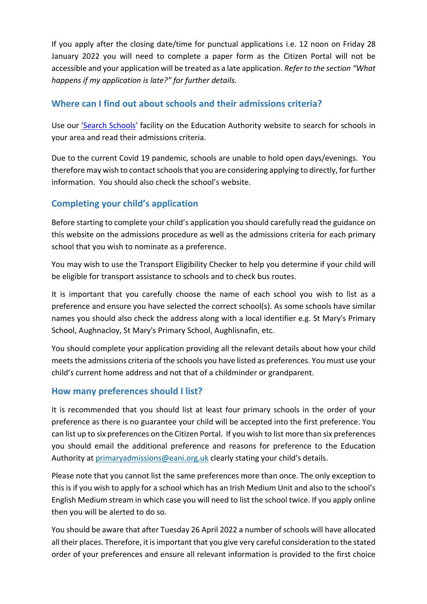If you apply after the closing date/time for punctual applications i.e. 12 noon on Friday 28 January 2022 you will need to complete a paper form as the Citizen Portal will not be accessible and your application will be treated as a late application. *Refer to the section "What happens if my application is late?" for further details.*

## **Where can I find out about schools and their admissions criteria?**

Use our ['Search Schools'](https://www.eani.org.uk/search-schools) facility on the Education Authority website to search for schools in your area and read their admissions criteria.

Due to the current Covid 19 pandemic, schools are unable to hold open days/evenings. You therefore may wish to contact schools that you are considering applying to directly, for further information. You should also check the school's website.

### **Completing your child's application**

Before starting to complete your child's application you should carefully read the guidance on this website on the admissions procedure as well as the admissions criteria for each primary school that you wish to nominate as a preference.

You may wish to use the Transport Eligibility Checker to help you determine if your child will be eligible for transport assistance to schools and to check bus routes.

It is important that you carefully choose the name of each school you wish to list as a preference and ensure you have selected the correct school(s). As some schools have similar names you should also check the address along with a local identifier e.g. St Mary's Primary School, Aughnacloy, St Mary's Primary School, Aughlisnafin, etc.

You should complete your application providing all the relevant details about how your child meets the admissions criteria of the schools you have listed as preferences. You must use your child's current home address and not that of a childminder or grandparent.

#### **How many preferences should I list?**

It is recommended that you should list at least four primary schools in the order of your preference as there is no guarantee your child will be accepted into the first preference. You can list up to six preferences on the Citizen Portal. If you wish to list more than six preferences you should email the additional preference and reasons for preference to the Education Authority at [primaryadmissions@eani.org.uk](mailto:primaryadmissions@eani.org.uk) clearly stating your child's details.

Please note that you cannot list the same preferences more than once. The only exception to this is if you wish to apply for a school which has an Irish Medium Unit and also to the school's English Medium stream in which case you will need to list the school twice. If you apply online then you will be alerted to do so.

You should be aware that after Tuesday 26 April 2022 a number of schools will have allocated all their places. Therefore, it is important that you give very careful consideration to the stated order of your preferences and ensure all relevant information is provided to the first choice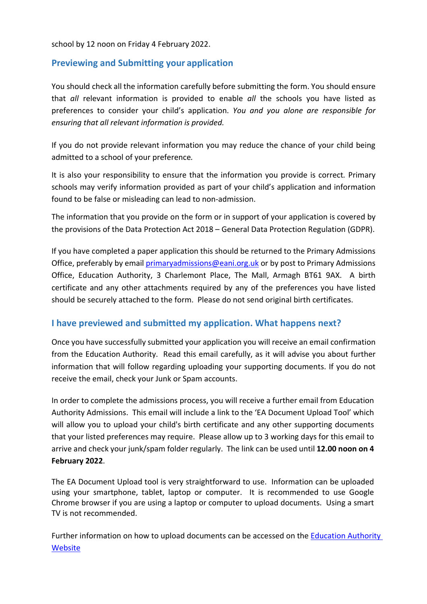school by 12 noon on Friday 4 February 2022.

#### **Previewing and Submitting your application**

You should check all the information carefully before submitting the form. You should ensure that *all* relevant information is provided to enable *all* the schools you have listed as preferences to consider your child's application. *You and you alone are responsible for ensuring that all relevant information is provided.*

If you do not provide relevant information you may reduce the chance of your child being admitted to a school of your preference*.*

It is also your responsibility to ensure that the information you provide is correct*.* Primary schools may verify information provided as part of your child's application and information found to be false or misleading can lead to non-admission.

The information that you provide on the form or in support of your application is covered by the provisions of the Data Protection Act 2018 – General Data Protection Regulation (GDPR).

If you have completed a paper application this should be returned to the Primary Admissions Office, preferably by email [primaryadmissions@eani.org.uk](mailto:primaryadmissions@eani.org.uk) or by post to Primary Admissions Office, Education Authority, 3 Charlemont Place, The Mall, Armagh BT61 9AX. A birth certificate and any other attachments required by any of the preferences you have listed should be securely attached to the form. Please do not send original birth certificates.

#### **I have previewed and submitted my application. What happens next?**

Once you have successfully submitted your application you will receive an email confirmation from the Education Authority. Read this email carefully, as it will advise you about further information that will follow regarding uploading your supporting documents. If you do not receive the email, check your Junk or Spam accounts.

In order to complete the admissions process, you will receive a further email from Education Authority Admissions. This email will include a link to the 'EA Document Upload Tool' which will allow you to upload your child's birth certificate and any other supporting documents that your listed preferences may require. Please allow up to 3 working days for this email to arrive and check your junk/spam folder regularly. The link can be used until **12.00 noon on 4 February 2022**.

The EA Document Upload tool is very straightforward to use. Information can be uploaded using your smartphone, tablet, laptop or computer. It is recommended to use Google Chrome browser if you are using a laptop or computer to upload documents. Using a smart TV is not recommended.

Further information on how to upload documents can be accessed on the [Education Authority](http://www.eani.org.uk/)  **[Website](http://www.eani.org.uk/)**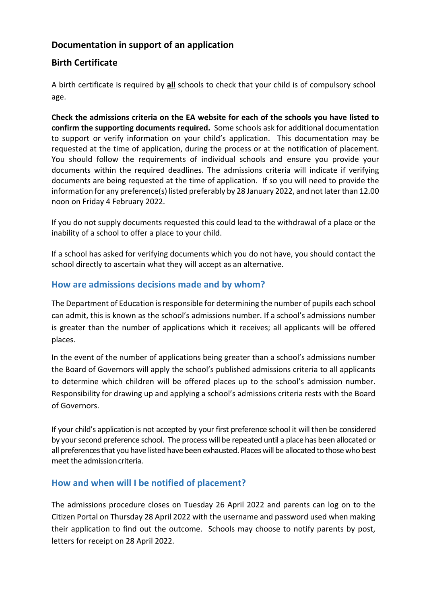## **Documentation in support of an application**

### **Birth Certificate**

A birth certificate is required by **all** schools to check that your child is of compulsory school age.

**Check the admissions criteria on the EA website for each of the schools you have listed to confirm the supporting documents required.** Some schools ask for additional documentation to support or verify information on your child's application. This documentation may be requested at the time of application, during the process or at the notification of placement. You should follow the requirements of individual schools and ensure you provide your documents within the required deadlines. The admissions criteria will indicate if verifying documents are being requested at the time of application. If so you will need to provide the information for any preference(s) listed preferably by 28 January 2022, and not later than 12.00 noon on Friday 4 February 2022.

If you do not supply documents requested this could lead to the withdrawal of a place or the inability of a school to offer a place to your child.

If a school has asked for verifying documents which you do not have, you should contact the school directly to ascertain what they will accept as an alternative.

### **How are admissions decisions made and by whom?**

The Department of Education is responsible for determining the number of pupils each school can admit, this is known as the school's admissions number. If a school's admissions number is greater than the number of applications which it receives; all applicants will be offered places.

In the event of the number of applications being greater than a school's admissions number the Board of Governors will apply the school's published admissions criteria to all applicants to determine which children will be offered places up to the school's admission number. Responsibility for drawing up and applying a school's admissions criteria rests with the Board of Governors.

If your child's application is not accepted by your first preference school it will then be considered by yoursecond preference school. The process will be repeated until a place has been allocated or all preferencesthat you have listed have been exhausted. Placeswill be allocated to those who best meet the admission criteria.

### **How and when will I be notified of placement?**

The admissions procedure closes on Tuesday 26 April 2022 and parents can log on to the Citizen Portal on Thursday 28 April 2022 with the username and password used when making their application to find out the outcome. Schools may choose to notify parents by post, letters for receipt on 28 April 2022.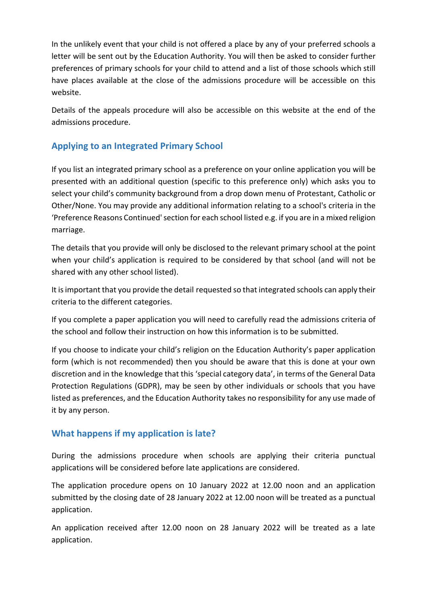In the unlikely event that your child is not offered a place by any of your preferred schools a letter will be sent out by the Education Authority. You will then be asked to consider further preferences of primary schools for your child to attend and a list of those schools which still have places available at the close of the admissions procedure will be accessible on this website.

Details of the appeals procedure will also be accessible on this website at the end of the admissions procedure.

## **Applying to an Integrated Primary School**

If you list an integrated primary school as a preference on your online application you will be presented with an additional question (specific to this preference only) which asks you to select your child's community background from a drop down menu of Protestant, Catholic or Other/None. You may provide any additional information relating to a school's criteria in the 'Preference Reasons Continued'section for each school listed e.g. if you are in a mixed religion marriage.

The details that you provide will only be disclosed to the relevant primary school at the point when your child's application is required to be considered by that school (and will not be shared with any other school listed).

It isimportant that you provide the detail requested so that integrated schools can apply their criteria to the different categories.

If you complete a paper application you will need to carefully read the admissions criteria of the school and follow their instruction on how this information is to be submitted.

If you choose to indicate your child's religion on the Education Authority's paper application form (which is not recommended) then you should be aware that this is done at your own discretion and in the knowledge that this 'special category data', in terms of the General Data Protection Regulations (GDPR), may be seen by other individuals or schools that you have listed as preferences, and the Education Authority takes no responsibility for any use made of it by any person.

### **What happens if my application is late?**

During the admissions procedure when schools are applying their criteria punctual applications will be considered before late applications are considered.

The application procedure opens on 10 January 2022 at 12.00 noon and an application submitted by the closing date of 28 January 2022 at 12.00 noon will be treated as a punctual application.

An application received after 12.00 noon on 28 January 2022 will be treated as a late application.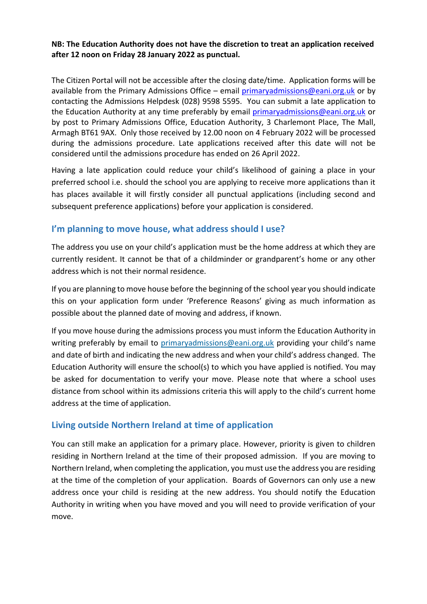#### **NB: The Education Authority does not have the discretion to treat an application received after 12 noon on Friday 28 January 2022 as punctual.**

The Citizen Portal will not be accessible after the closing date/time. Application forms will be available from the Primary Admissions Office – email [primaryadmissions@eani.org.uk](mailto:primaryadmissions@eani.org.uk) or by contacting the Admissions Helpdesk (028) 9598 5595. You can submit a late application to the Education Authority at any time preferably by email [primaryadmissions@eani.org.uk](mailto:primaryadmissions@eani.org.uk) or by post to Primary Admissions Office, Education Authority, 3 Charlemont Place, The Mall, Armagh BT61 9AX. Only those received by 12.00 noon on 4 February 2022 will be processed during the admissions procedure. Late applications received after this date will not be considered until the admissions procedure has ended on 26 April 2022.

Having a late application could reduce your child's likelihood of gaining a place in your preferred school i.e. should the school you are applying to receive more applications than it has places available it will firstly consider all punctual applications (including second and subsequent preference applications) before your application is considered.

#### **I'm planning to move house, what address should I use?**

The address you use on your child's application must be the home address at which they are currently resident. It cannot be that of a childminder or grandparent's home or any other address which is not their normal residence.

If you are planning to move house before the beginning of the school year you should indicate this on your application form under 'Preference Reasons' giving as much information as possible about the planned date of moving and address, if known.

If you move house during the admissions process you must inform the Education Authority in writing preferably by email to [primaryadmissions@eani.org.uk](mailto:primaryadmissions@eani.org.uk) providing your child's name and date of birth and indicating the new address and when your child's address changed. The Education Authority will ensure the school(s) to which you have applied is notified. You may be asked for documentation to verify your move. Please note that where a school uses distance from school within its admissions criteria this will apply to the child's current home address at the time of application.

### **Living outside Northern Ireland at time of application**

You can still make an application for a primary place. However, priority is given to children residing in Northern Ireland at the time of their proposed admission. If you are moving to Northern Ireland, when completing the application, you must use the address you are residing at the time of the completion of your application. Boards of Governors can only use a new address once your child is residing at the new address. You should notify the Education Authority in writing when you have moved and you will need to provide verification of your move.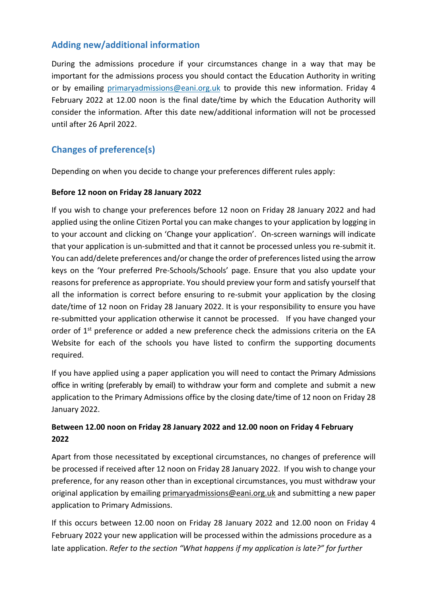### **Adding new/additional information**

During the admissions procedure if your circumstances change in a way that may be important for the admissions process you should contact the Education Authority in writing or by emailing [primaryadmissions@eani.org.uk](mailto:primaryadmissions@eani.org.uk) to provide this new information. Friday 4 February 2022 at 12.00 noon is the final date/time by which the Education Authority will consider the information. After this date new/additional information will not be processed until after 26 April 2022.

# **Changes of preference(s)**

Depending on when you decide to change your preferences different rules apply:

#### **Before 12 noon on Friday 28 January 2022**

If you wish to change your preferences before 12 noon on Friday 28 January 2022 and had applied using the online Citizen Portal you can make changes to your application by logging in to your account and clicking on 'Change your application'. On-screen warnings will indicate that your application is un-submitted and that it cannot be processed unless you re-submit it. You can add/delete preferences and/or change the order of preferences listed using the arrow keys on the 'Your preferred Pre-Schools/Schools' page. Ensure that you also update your reasons for preference as appropriate. You should preview your form and satisfy yourself that all the information is correct before ensuring to re-submit your application by the closing date/time of 12 noon on Friday 28 January 2022. It is your responsibility to ensure you have re-submitted your application otherwise it cannot be processed. If you have changed your order of 1<sup>st</sup> preference or added a new preference check the admissions criteria on the EA Website for each of the schools you have listed to confirm the supporting documents required.

If you have applied using a paper application you will need to contact the Primary Admissions office in writing (preferably by email) to withdraw your form and complete and submit a new application to the Primary Admissions office by the closing date/time of 12 noon on Friday 28 January 2022.

#### **Between 12.00 noon on Friday 28 January 2022 and 12.00 noon on Friday 4 February 2022**

Apart from those necessitated by exceptional circumstances, no changes of preference will be processed if received after 12 noon on Friday 28 January 2022. If you wish to change your preference, for any reason other than in exceptional circumstances, you must withdraw your original application by emailin[g primaryadmissions@eani.org.uk](mailto:primaryadmissions@eani.org.uk) and submitting a new paper application to Primary Admissions.

If this occurs between 12.00 noon on Friday 28 January 2022 and 12.00 noon on Friday 4 February 2022 your new application will be processed within the admissions procedure as a late application. *Refer to the section "What happens if my application is late?" for further*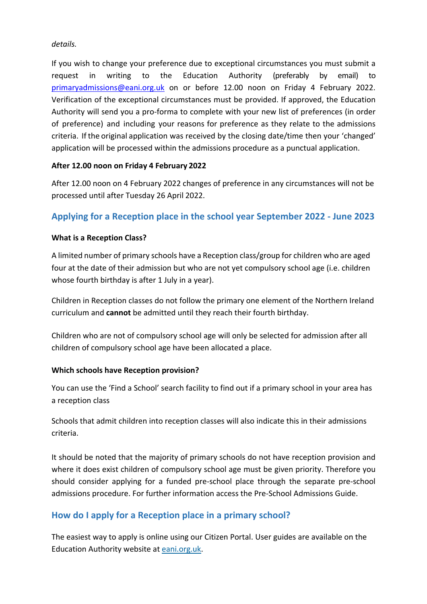*details.*

If you wish to change your preference due to exceptional circumstances you must submit a request in writing to the Education Authority (preferably by email) to [primaryadmissions@eani.org.uk](mailto:primaryadmissions@eani.org.uk) on or before 12.00 noon on Friday 4 February 2022. Verification of the exceptional circumstances must be provided. If approved, the Education Authority will send you a pro-forma to complete with your new list of preferences (in order of preference) and including your reasons for preference as they relate to the admissions criteria. If the original application was received by the closing date/time then your 'changed' application will be processed within the admissions procedure as a punctual application.

#### **After 12.00 noon on Friday 4 February 2022**

After 12.00 noon on 4 February 2022 changes of preference in any circumstances will not be processed until after Tuesday 26 April 2022.

### **Applying for a Reception place in the school year September 2022 - June 2023**

#### **What is a Reception Class?**

A limited number of primary schools have a Reception class/group for children who are aged four at the date of their admission but who are not yet compulsory school age (i.e. children whose fourth birthday is after 1 July in a year).

Children in Reception classes do not follow the primary one element of the Northern Ireland curriculum and **cannot** be admitted until they reach their fourth birthday.

Children who are not of compulsory school age will only be selected for admission after all children of compulsory school age have been allocated a place.

#### **Which schools have Reception provision?**

You can use the 'Find a School' search facility to find out if a primary school in your area has a reception class

Schools that admit children into reception classes will also indicate this in their admissions criteria.

It should be noted that the majority of primary schools do not have reception provision and where it does exist children of compulsory school age must be given priority. Therefore you should consider applying for a funded pre-school place through the separate pre-school admissions procedure. For further information access the Pre-School Admissions Guide.

### **How do I apply for a Reception place in a primary school?**

The easiest way to apply is online using our [Citizen Portal.](https://capita.slough.gov.uk/CitizenPortal_LIVE/Account/Login) User guides are available on the Education Authority website a[t eani.org.uk.](http://www.eani.org.uk/)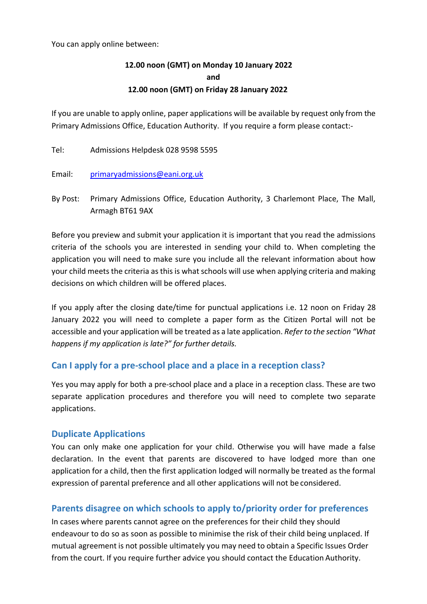You can apply online between:

### **12.00 noon (GMT) on Monday 10 January 2022 and 12.00 noon (GMT) on Friday 28 January 2022**

If you are unable to apply online, paper applications will be available by request only from the Primary Admissions Office, Education Authority. If you require a form please contact:-

Tel: Admissions Helpdesk 028 9598 5595

Email: [primaryadmissions@eani.org.uk](mailto:primaryadmissions@eani.org.uk)

By Post: Primary Admissions Office, Education Authority, 3 Charlemont Place, The Mall, Armagh BT61 9AX

Before you preview and submit your application it is important that you read the admissions criteria of the schools you are interested in sending your child to. When completing the application you will need to make sure you include all the relevant information about how your child meets the criteria as this is what schools will use when applying criteria and making decisions on which children will be offered places.

If you apply after the closing date/time for punctual applications i.e. 12 noon on Friday 28 January 2022 you will need to complete a paper form as the Citizen Portal will not be accessible and your application will be treated as a late application. *Refer to the section "What happens if my application is late?" for further details.*

#### **Can I apply for a pre-school place and a place in a reception class?**

Yes you may apply for both a pre-school place and a place in a reception class. These are two separate application procedures and therefore you will need to complete two separate applications.

#### **Duplicate Applications**

You can only make one application for your child. Otherwise you will have made a false declaration. In the event that parents are discovered to have lodged more than one application for a child, then the first application lodged will normally be treated as the formal expression of parental preference and all other applications will not be considered.

#### **Parents disagree on which schools to apply to/priority order for preferences**

In cases where parents cannot agree on the preferences for their child they should endeavour to do so as soon as possible to minimise the risk of their child being unplaced. If mutual agreement is not possible ultimately you may need to obtain a Specific Issues Order from the court. If you require further advice you should contact the Education Authority.